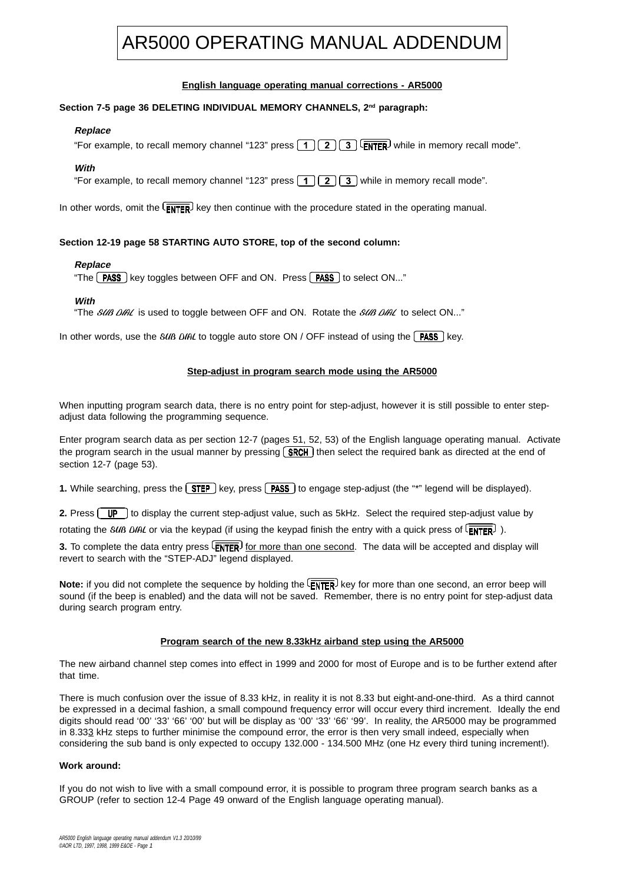# AR5000 OPERATING MANUAL ADDENDUM

# **English language operating manual corrections - AR5000**

## **Section 7-5 page 36 DELETING INDIVIDUAL MEMORY CHANNELS, 2nd paragraph:**

## **Replace**

"For example, to recall memory channel "123" press  $\boxed{1}$   $\boxed{2}$   $\boxed{3}$   $\boxed{\text{ENTER}}$  while in memory recall mode".

## **With**

"For example, to recall memory channel "123" press  $\lceil 1 \rceil \lceil 2 \rceil \lceil 3 \rceil$  while in memory recall mode".

In other words, omit the  $\overline{E_{\text{NTER}}}$  key then continue with the procedure stated in the operating manual.

## **Section 12-19 page 58 STARTING AUTO STORE, top of the second column:**

#### **Replace**

"The  $\sqrt{PASS}$  key toggles between OFF and ON. Press  $\sqrt{PASS}$  to select ON..."

## **With**

"The SUB DIAL is used to toggle between OFF and ON. Rotate the SUB DIAL to select ON..."

In other words, use the  $SUB$  DIAL to toggle auto store ON / OFF instead of using the **PASS** key.

## **Step-adjust in program search mode using the AR5000**

When inputting program search data, there is no entry point for step-adjust, however it is still possible to enter stepadjust data following the programming sequence.

Enter program search data as per section 12-7 (pages 51, 52, 53) of the English language operating manual. Activate the program search in the usual manner by pressing  $SRCH$  then select the required bank as directed at the end of section 12-7 (page 53).

**1.** While searching, press the  $\boxed{\text{SEP}}$  key, press  $\boxed{\text{PASS}}$  to engage step-adjust (the "\*" legend will be displayed).

**2.** Press  $[\overrightarrow{UP}]$  to display the current step-adjust value, such as 5kHz. Select the required step-adjust value by

rotating the SUB DIAL or via the keypad (if using the keypad finish the entry with a quick press of  $\overline{\text{FNTFR}}$ ).

**3.** To complete the data entry press  $\overline{\text{ENTER}}$  for more than one second. The data will be accepted and display will revert to search with the "STEP-ADJ" legend displayed.

Note: if you did not complete the sequence by holding the  $\overline{ENTER}$  key for more than one second, an error beep will sound (if the beep is enabled) and the data will not be saved. Remember, there is no entry point for step-adjust data during search program entry.

#### **Program search of the new 8.33kHz airband step using the AR5000**

The new airband channel step comes into effect in 1999 and 2000 for most of Europe and is to be further extend after that time.

There is much confusion over the issue of 8.33 kHz, in reality it is not 8.33 but eight-and-one-third. As a third cannot be expressed in a decimal fashion, a small compound frequency error will occur every third increment. Ideally the end digits should read '00' '33' '66' '00' but will be display as '00' '33' '66' '99'. In reality, the AR5000 may be programmed in 8.333 kHz steps to further minimise the compound error, the error is then very small indeed, especially when considering the sub band is only expected to occupy 132.000 - 134.500 MHz (one Hz every third tuning increment!).

#### **Work around:**

If you do not wish to live with a small compound error, it is possible to program three program search banks as a GROUP (refer to section 12-4 Page 49 onward of the English language operating manual).